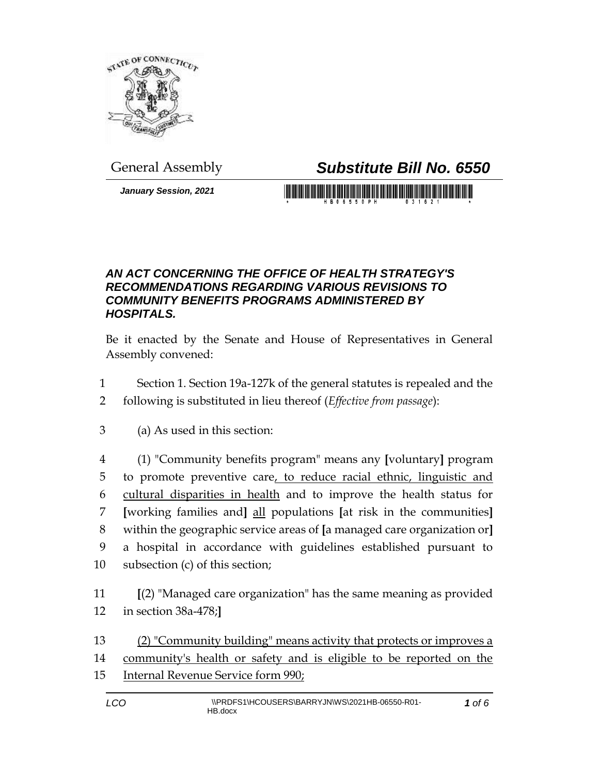

## General Assembly *Substitute Bill No. 6550*

*January Session, 2021*

## *AN ACT CONCERNING THE OFFICE OF HEALTH STRATEGY'S RECOMMENDATIONS REGARDING VARIOUS REVISIONS TO COMMUNITY BENEFITS PROGRAMS ADMINISTERED BY HOSPITALS.*

Be it enacted by the Senate and House of Representatives in General Assembly convened:

- Section 1. Section 19a-127k of the general statutes is repealed and the
- following is substituted in lieu thereof (*Effective from passage*):
- (a) As used in this section:
- (1) "Community benefits program" means any **[**voluntary**]** program to promote preventive care, to reduce racial ethnic, linguistic and cultural disparities in health and to improve the health status for **[**working families and**]** all populations **[**at risk in the communities**]** within the geographic service areas of **[**a managed care organization or**]** a hospital in accordance with guidelines established pursuant to subsection (c) of this section;
- **[**(2) "Managed care organization" has the same meaning as provided in section 38a-478;**]**
- (2) "Community building" means activity that protects or improves a community's health or safety and is eligible to be reported on the Internal Revenue Service form 990;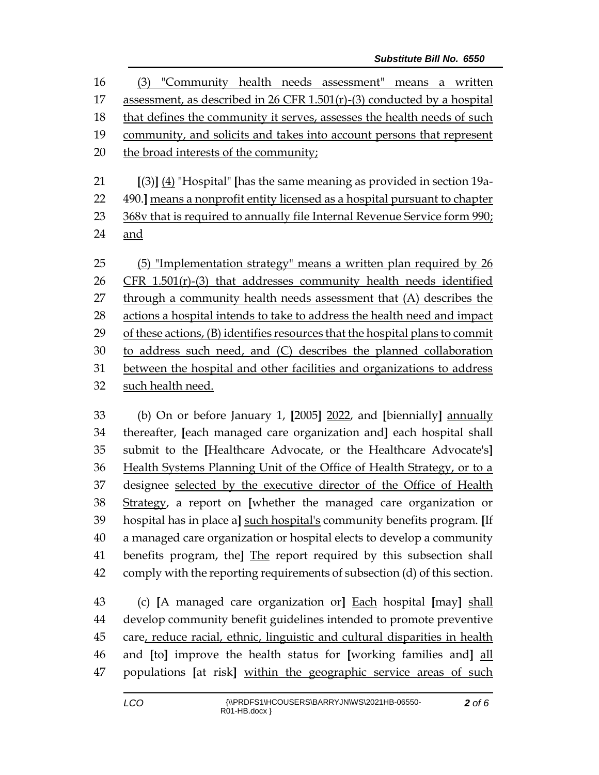| 16     | "Community health needs assessment"<br>(3)<br>written<br>means<br>a                            |  |  |
|--------|------------------------------------------------------------------------------------------------|--|--|
| 17     | assessment, as described in 26 CFR 1.501(r)-(3) conducted by a hospital                        |  |  |
| 18     | that defines the community it serves, assesses the health needs of such                        |  |  |
| 19     | community, and solicits and takes into account persons that represent                          |  |  |
| 20     | the broad interests of the community;                                                          |  |  |
|        |                                                                                                |  |  |
| 21     | $(3)$ ] (4) "Hospital" [has the same meaning as provided in section 19a-                       |  |  |
| 22     | 490.] means a nonprofit entity licensed as a hospital pursuant to chapter                      |  |  |
| 23     | 368v that is required to annually file Internal Revenue Service form 990;                      |  |  |
| 24     | and                                                                                            |  |  |
|        |                                                                                                |  |  |
| 25     | (5) "Implementation strategy" means a written plan required by 26                              |  |  |
| 26     | $CFR$ 1.501(r)-(3) that addresses community health needs identified                            |  |  |
| 27     | through a community health needs assessment that (A) describes the                             |  |  |
| 28     | actions a hospital intends to take to address the health need and impact                       |  |  |
| 29     | of these actions, (B) identifies resources that the hospital plans to commit                   |  |  |
| 30     | to address such need, and (C) describes the planned collaboration                              |  |  |
| 31     | between the hospital and other facilities and organizations to address                         |  |  |
| 32     | such health need.                                                                              |  |  |
|        |                                                                                                |  |  |
| $\sim$ | $\sqrt{1}$ $\sqrt{2}$ $\sqrt{1}$ $\sqrt{2}$ $\sqrt{1}$ $\sqrt{2}$ $\sqrt{1}$<br>$\blacksquare$ |  |  |

 (b) On or before January 1, **[**2005**]** 2022, and **[**biennially**]** annually thereafter, **[**each managed care organization and**]** each hospital shall submit to the **[**Healthcare Advocate, or the Healthcare Advocate's**]** Health Systems Planning Unit of the Office of Health Strategy, or to a designee selected by the executive director of the Office of Health Strategy, a report on **[**whether the managed care organization or hospital has in place a**]** such hospital's community benefits program. **[**If a managed care organization or hospital elects to develop a community benefits program, the**]** The report required by this subsection shall comply with the reporting requirements of subsection (d) of this section.

 (c) **[**A managed care organization or**]** Each hospital **[**may**]** shall develop community benefit guidelines intended to promote preventive care, reduce racial, ethnic, linguistic and cultural disparities in health and **[**to**]** improve the health status for **[**working families and**]** all populations **[**at risk**]** within the geographic service areas of such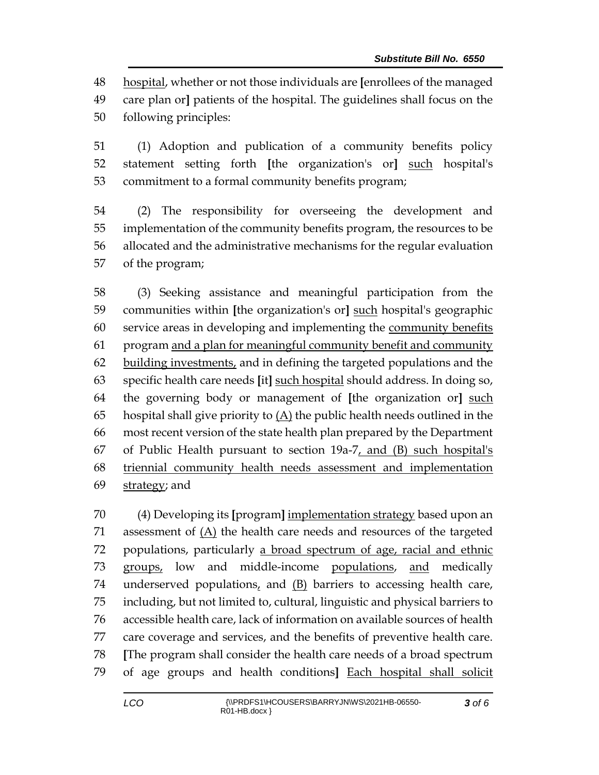hospital, whether or not those individuals are **[**enrollees of the managed care plan or**]** patients of the hospital. The guidelines shall focus on the following principles:

 (1) Adoption and publication of a community benefits policy statement setting forth **[**the organization's or**]** such hospital's commitment to a formal community benefits program;

 (2) The responsibility for overseeing the development and implementation of the community benefits program, the resources to be allocated and the administrative mechanisms for the regular evaluation of the program;

 (3) Seeking assistance and meaningful participation from the communities within **[**the organization's or**]** such hospital's geographic service areas in developing and implementing the community benefits program and a plan for meaningful community benefit and community building investments, and in defining the targeted populations and the specific health care needs **[**it**]** such hospital should address. In doing so, the governing body or management of **[**the organization or**]** such hospital shall give priority to (A) the public health needs outlined in the most recent version of the state health plan prepared by the Department 67 of Public Health pursuant to section  $19a-7$ , and (B) such hospital's triennial community health needs assessment and implementation 69 strategy; and

 (4) Developing its **[**program**]** implementation strategy based upon an 71 assessment of  $(A)$  the health care needs and resources of the targeted populations, particularly a broad spectrum of age, racial and ethnic groups, low and middle-income populations, and medically underserved populations, and (B) barriers to accessing health care, including, but not limited to, cultural, linguistic and physical barriers to accessible health care, lack of information on available sources of health care coverage and services, and the benefits of preventive health care. **[**The program shall consider the health care needs of a broad spectrum of age groups and health conditions**]** Each hospital shall solicit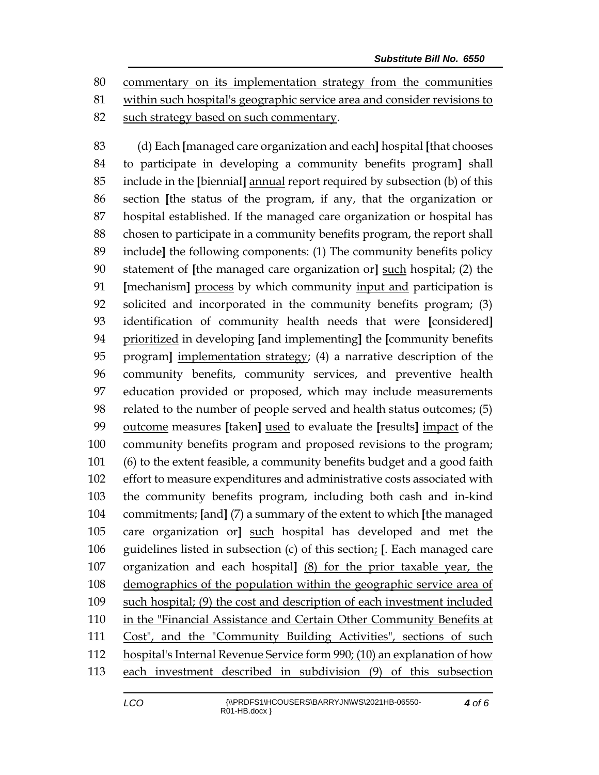commentary on its implementation strategy from the communities within such hospital's geographic service area and consider revisions to 82 such strategy based on such commentary.

 (d) Each **[**managed care organization and each**]** hospital **[**that chooses to participate in developing a community benefits program**]** shall include in the **[**biennial**]** annual report required by subsection (b) of this section **[**the status of the program, if any, that the organization or hospital established. If the managed care organization or hospital has chosen to participate in a community benefits program, the report shall include**]** the following components: (1) The community benefits policy statement of **[**the managed care organization or**]** such hospital; (2) the **[**mechanism**]** process by which community input and participation is solicited and incorporated in the community benefits program; (3) identification of community health needs that were **[**considered**]** prioritized in developing **[**and implementing**]** the **[**community benefits program**]** implementation strategy; (4) a narrative description of the community benefits, community services, and preventive health education provided or proposed, which may include measurements related to the number of people served and health status outcomes; (5) outcome measures **[**taken**]** used to evaluate the **[**results**]** impact of the community benefits program and proposed revisions to the program; (6) to the extent feasible, a community benefits budget and a good faith effort to measure expenditures and administrative costs associated with the community benefits program, including both cash and in-kind commitments; **[**and**]** (7) a summary of the extent to which **[**the managed care organization or**]** such hospital has developed and met the guidelines listed in subsection (c) of this section; **[**. Each managed care organization and each hospital**]** (8) for the prior taxable year, the demographics of the population within the geographic service area of such hospital; (9) the cost and description of each investment included in the "Financial Assistance and Certain Other Community Benefits at Cost", and the "Community Building Activities", sections of such hospital's Internal Revenue Service form 990; (10) an explanation of how each investment described in subdivision (9) of this subsection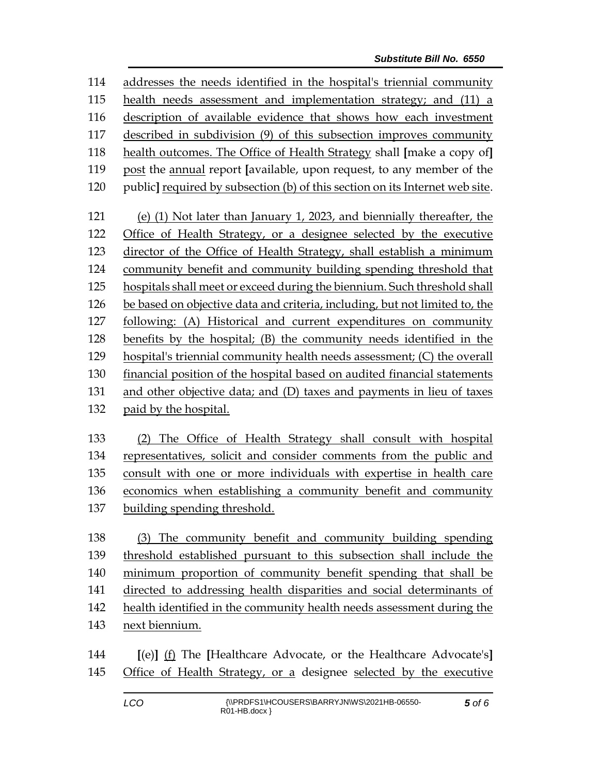addresses the needs identified in the hospital's triennial community health needs assessment and implementation strategy; and (11) a description of available evidence that shows how each investment described in subdivision (9) of this subsection improves community health outcomes. The Office of Health Strategy shall **[**make a copy of**]** post the annual report **[**available, upon request, to any member of the public**]** required by subsection (b) of this section on its Internet web site. (e) (1) Not later than January 1, 2023, and biennially thereafter, the Office of Health Strategy, or a designee selected by the executive director of the Office of Health Strategy, shall establish a minimum community benefit and community building spending threshold that hospitals shall meet or exceed during the biennium. Such threshold shall be based on objective data and criteria, including, but not limited to, the following: (A) Historical and current expenditures on community benefits by the hospital; (B) the community needs identified in the hospital's triennial community health needs assessment; (C) the overall financial position of the hospital based on audited financial statements and other objective data; and (D) taxes and payments in lieu of taxes paid by the hospital. (2) The Office of Health Strategy shall consult with hospital

 representatives, solicit and consider comments from the public and consult with one or more individuals with expertise in health care economics when establishing a community benefit and community building spending threshold.

 (3) The community benefit and community building spending threshold established pursuant to this subsection shall include the minimum proportion of community benefit spending that shall be directed to addressing health disparities and social determinants of health identified in the community health needs assessment during the next biennium.

 **[**(e)**]** (f) The **[**Healthcare Advocate, or the Healthcare Advocate's**]** Office of Health Strategy, or a designee selected by the executive